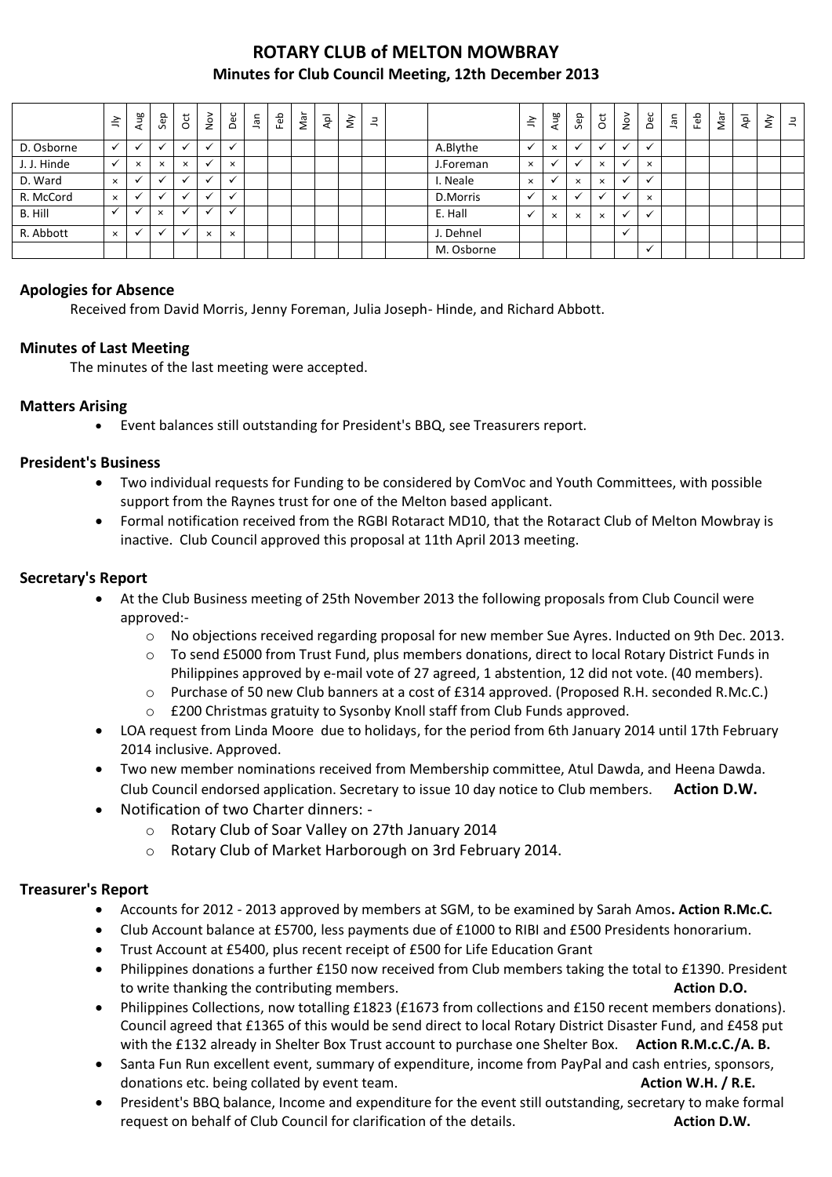## **ROTARY CLUB of MELTON MOWBRAY Minutes for Club Council Meeting, 12th December 2013**

|             | $\tilde{=}$              | Aug          | Sep          | ğ            | $\sum_{i=1}^{\infty}$ | Dec                      | <b>Jan</b> | Feb | Nar | $\bar{A}$ | $\grave{\varepsilon}$ | $\exists$ |            | $\tilde{=}$ |          | Aug                  | Sep      | <b>b</b> | $\stackrel{\textstyle\sim}{\textstyle\sim}$ | Dec            | Jan | Feb | Nar | $\bar{A}$ | š | $\equiv$ |
|-------------|--------------------------|--------------|--------------|--------------|-----------------------|--------------------------|------------|-----|-----|-----------|-----------------------|-----------|------------|-------------|----------|----------------------|----------|----------|---------------------------------------------|----------------|-----|-----|-----|-----------|---|----------|
| D. Osborne  |                          | $\checkmark$ | $\cdot$      | $\checkmark$ |                       | $\checkmark$             |            |     |     |           |                       |           | A.Blythe   |             |          | $\times$             |          |          |                                             | $\checkmark$   |     |     |     |           |   |          |
| J. J. Hinde |                          | $\times$     | $\times$     | $\times$     |                       | $\times$                 |            |     |     |           |                       |           | J.Foreman  |             | $\times$ | $\ddot{\phantom{0}}$ |          | $\times$ |                                             | $\times$       |     |     |     |           |   |          |
| D. Ward     | $\times$                 | $\checkmark$ |              | $\checkmark$ |                       | $\overline{\phantom{a}}$ |            |     |     |           |                       |           | Neale      | $\times$    |          |                      | $\times$ | $\times$ |                                             | $\overline{u}$ |     |     |     |           |   |          |
| R. McCord   | $\times$                 | $\checkmark$ | $\checkmark$ | $\checkmark$ |                       | $\checkmark$             |            |     |     |           |                       |           | D.Morris   |             |          | $\times$             |          |          |                                             | $\times$       |     |     |     |           |   |          |
| B. Hill     | $\overline{\phantom{a}}$ |              | $\times$     | $\checkmark$ |                       | $\overline{\phantom{a}}$ |            |     |     |           |                       |           | E. Hall    |             |          | $\times$             | $\times$ | $\times$ | ◡                                           | $\checkmark$   |     |     |     |           |   |          |
| R. Abbott   | $\times$                 | $\checkmark$ | $\checkmark$ | $\checkmark$ | $\times$              | $\times$                 |            |     |     |           |                       |           | J. Dehnel  |             |          |                      |          |          | $\cdot$                                     |                |     |     |     |           |   |          |
|             |                          |              |              |              |                       |                          |            |     |     |           |                       |           | M. Osborne |             |          |                      |          |          |                                             | $\checkmark$   |     |     |     |           |   |          |

### **Apologies for Absence**

Received from David Morris, Jenny Foreman, Julia Joseph- Hinde, and Richard Abbott.

#### **Minutes of Last Meeting**

The minutes of the last meeting were accepted.

### **Matters Arising**

Event balances still outstanding for President's BBQ, see Treasurers report.

#### **President's Business**

- Two individual requests for Funding to be considered by ComVoc and Youth Committees, with possible support from the Raynes trust for one of the Melton based applicant.
- Formal notification received from the RGBI Rotaract MD10, that the Rotaract Club of Melton Mowbray is inactive. Club Council approved this proposal at 11th April 2013 meeting.

### **Secretary's Report**

- At the Club Business meeting of 25th November 2013 the following proposals from Club Council were approved:
	- o No objections received regarding proposal for new member Sue Ayres. Inducted on 9th Dec. 2013.
	- o To send £5000 from Trust Fund, plus members donations, direct to local Rotary District Funds in Philippines approved by e-mail vote of 27 agreed, 1 abstention, 12 did not vote. (40 members).
	- o Purchase of 50 new Club banners at a cost of £314 approved. (Proposed R.H. seconded R.Mc.C.)
	- o £200 Christmas gratuity to Sysonby Knoll staff from Club Funds approved.
- LOA request from Linda Moore due to holidays, for the period from 6th January 2014 until 17th February 2014 inclusive. Approved.
- Two new member nominations received from Membership committee, Atul Dawda, and Heena Dawda. Club Council endorsed application. Secretary to issue 10 day notice to Club members. **Action D.W.**
- Notification of two Charter dinners:
	- o Rotary Club of Soar Valley on 27th January 2014
	- o Rotary Club of Market Harborough on 3rd February 2014.

#### **Treasurer's Report**

- Accounts for 2012 2013 approved by members at SGM, to be examined by Sarah Amos**. Action R.Mc.C.**
- Club Account balance at £5700, less payments due of £1000 to RIBI and £500 Presidents honorarium.
- Trust Account at £5400, plus recent receipt of £500 for Life Education Grant
- Philippines donations a further £150 now received from Club members taking the total to £1390. President to write thanking the contributing members. **Action D.O.**
- Philippines Collections, now totalling £1823 (£1673 from collections and £150 recent members donations). Council agreed that £1365 of this would be send direct to local Rotary District Disaster Fund, and £458 put with the £132 already in Shelter Box Trust account to purchase one Shelter Box. **Action R.M.c.C./A. B.**
- Santa Fun Run excellent event, summary of expenditure, income from PayPal and cash entries, sponsors, donations etc. being collated by event team. **Action W.H. / R.E.**
- President's BBQ balance, Income and expenditure for the event still outstanding, secretary to make formal request on behalf of Club Council for clarification of the details. **Action D.W.**